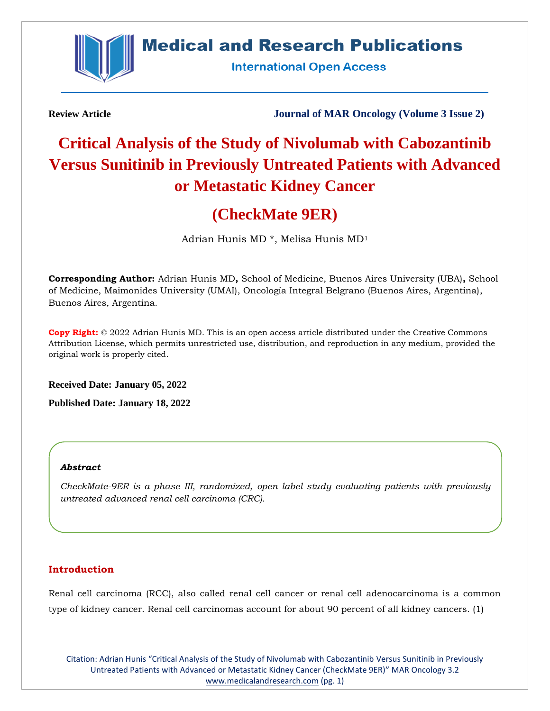

### **Medical and Research Publications**

**International Open Access** 

**Review Article Journal of MAR Oncology (Volume 3 Issue 2)**

# **Critical Analysis of the Study of Nivolumab with Cabozantinib Versus Sunitinib in Previously Untreated Patients with Advanced or Metastatic Kidney Cancer**

## **(CheckMate 9ER)**

Adrian Hunis MD \*, Melisa Hunis MD<sup>1</sup>

**Corresponding Author:** Adrian Hunis MD**,** School of Medicine, Buenos Aires University (UBA)**,** School of Medicine, Maimonides University (UMAI), Oncología Integral Belgrano (Buenos Aires, Argentina), Buenos Aires, Argentina.

**Copy Right:** © 2022 Adrian Hunis MD. This is an open access article distributed under the Creative Commons Attribution License, which permits unrestricted use, distribution, and reproduction in any medium, provided the original work is properly cited.

**Received Date: January 05, 2022**

**Published Date: January 18, 2022**

#### *Abstract*

*CheckMate-9ER is a phase III, randomized, open label study evaluating patients with previously untreated advanced renal cell carcinoma (CRC).*

#### **Introduction**

Renal cell carcinoma (RCC), also called renal cell cancer or renal cell adenocarcinoma is a common type of kidney cancer. Renal cell carcinomas account for about 90 percent of all kidney cancers. (1)

Citation: Adrian Hunis "Critical Analysis of the Study of Nivolumab with Cabozantinib Versus Sunitinib in Previously Untreated Patients with Advanced or Metastatic Kidney Cancer (CheckMate 9ER)" MAR Oncology 3.2 [www.medicalandresearch.com](http://www.medicalandresearch.com/) (pg. 1)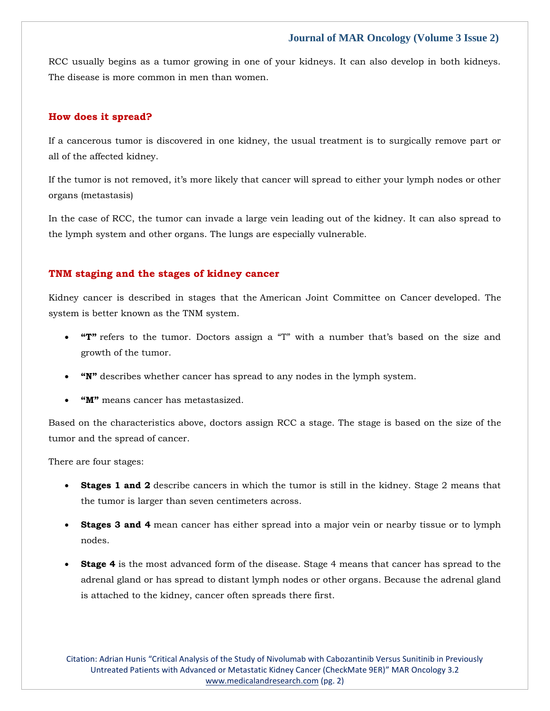RCC usually begins as a tumor growing in one of your kidneys. It can also develop in both kidneys. The disease is more common in men than women.

#### **How does it spread?**

If a cancerous tumor is discovered in one kidney, the usual treatment is to surgically remove part or all of the affected kidney.

If the tumor is not removed, it's more likely that cancer will spread to either your lymph nodes or other organs (metastasis)

In the case of RCC, the tumor can invade a large vein leading out of the kidney. It can also spread to the lymph system and other organs. The lungs are especially vulnerable.

#### **TNM staging and the stages of kidney cancer**

Kidney cancer is described in stages that the American Joint Committee on Cancer developed. The system is better known as the TNM system.

- **"T"** refers to the tumor. Doctors assign a "T" with a number that's based on the size and growth of the tumor.
- **"N"** describes whether cancer has spread to any nodes in the lymph system.
- **"M"** means cancer has metastasized.

Based on the characteristics above, doctors assign RCC a stage. The stage is based on the size of the tumor and the spread of cancer.

There are four stages:

- **Stages 1 and 2** describe cancers in which the tumor is still in the kidney. Stage 2 means that the tumor is larger than seven centimeters across.
- **Stages 3 and 4** mean cancer has either spread into a major vein or nearby tissue or to lymph nodes.
- **Stage 4** is the most advanced form of the disease. Stage 4 means that cancer has spread to the adrenal gland or has spread to distant lymph nodes or other organs. Because the adrenal gland is attached to the kidney, cancer often spreads there first.

Citation: Adrian Hunis "Critical Analysis of the Study of Nivolumab with Cabozantinib Versus Sunitinib in Previously Untreated Patients with Advanced or Metastatic Kidney Cancer (CheckMate 9ER)" MAR Oncology 3.2 [www.medicalandresearch.com](http://www.medicalandresearch.com/) (pg. 2)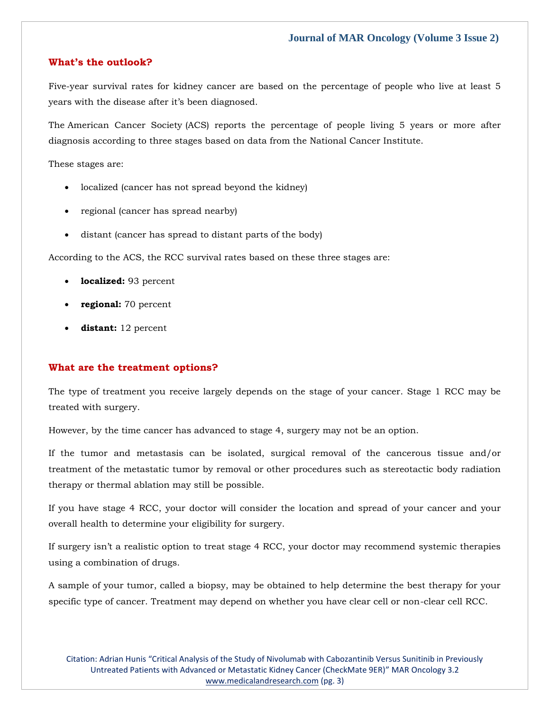#### **What's the outlook?**

Five-year survival rates for kidney cancer are based on the percentage of people who live at least 5 years with the disease after it's been diagnosed.

The American Cancer Society (ACS) reports the percentage of people living 5 years or more after diagnosis according to three stages based on data from the National Cancer Institute.

These stages are:

- localized (cancer has not spread beyond the kidney)
- regional (cancer has spread nearby)
- distant (cancer has spread to distant parts of the body)

According to the ACS, the RCC survival rates based on these three stages are:

- **localized:** 93 percent
- **regional:** 70 percent
- **distant:** 12 percent

#### **What are the treatment options?**

The type of treatment you receive largely depends on the stage of your cancer. Stage 1 RCC may be treated with surgery.

However, by the time cancer has advanced to stage 4, surgery may not be an option.

If the tumor and metastasis can be isolated, surgical removal of the cancerous tissue and/or treatment of the metastatic tumor by removal or other procedures such as stereotactic body radiation therapy or thermal ablation may still be possible.

If you have stage 4 RCC, your doctor will consider the location and spread of your cancer and your overall health to determine your eligibility for surgery.

If surgery isn't a realistic option to treat stage 4 RCC, your doctor may recommend systemic therapies using a combination of drugs.

A sample of your tumor, called a biopsy, may be obtained to help determine the best therapy for your specific type of cancer. Treatment may depend on whether you have clear cell or non-clear cell RCC.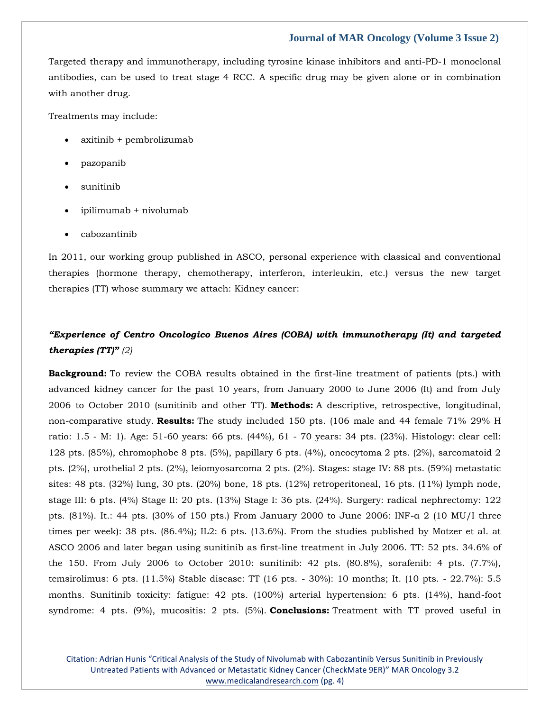Targeted therapy and immunotherapy, including tyrosine kinase inhibitors and anti-PD-1 monoclonal antibodies, can be used to treat stage 4 RCC. A specific drug may be given alone or in combination with another drug.

Treatments may include:

- axitinib + pembrolizumab
- pazopanib
- sunitinib
- ipilimumab + nivolumab
- cabozantinib

In 2011, our working group published in ASCO, personal experience with classical and conventional therapies (hormone therapy, chemotherapy, interferon, interleukin, etc.) versus the new target therapies (TT) whose summary we attach: Kidney cancer:

### *"Experience of Centro Oncologico Buenos Aires (COBA) with immunotherapy (It) and targeted therapies (TT)" (2)*

**Background:** To review the COBA results obtained in the first-line treatment of patients (pts.) with advanced kidney cancer for the past 10 years, from January 2000 to June 2006 (It) and from July 2006 to October 2010 (sunitinib and other TT). **Methods:** A descriptive, retrospective, longitudinal, non-comparative study. **Results:** The study included 150 pts. (106 male and 44 female 71% 29% H ratio: 1.5 - M: 1). Age: 51-60 years: 66 pts. (44%), 61 - 70 years: 34 pts. (23%). Histology: clear cell: 128 pts. (85%), chromophobe 8 pts. (5%), papillary 6 pts. (4%), oncocytoma 2 pts. (2%), sarcomatoid 2 pts. (2%), urothelial 2 pts. (2%), leiomyosarcoma 2 pts. (2%). Stages: stage IV: 88 pts. (59%) metastatic sites: 48 pts. (32%) lung, 30 pts. (20%) bone, 18 pts. (12%) retroperitoneal, 16 pts. (11%) lymph node, stage III: 6 pts. (4%) Stage II: 20 pts. (13%) Stage I: 36 pts. (24%). Surgery: radical nephrectomy: 122 pts. (81%). It.: 44 pts. (30% of 150 pts.) From January 2000 to June 2006: INF-α 2 (10 MU/I three times per week): 38 pts. (86.4%); IL2: 6 pts. (13.6%). From the studies published by Motzer et al. at ASCO 2006 and later began using sunitinib as first-line treatment in July 2006. TT: 52 pts. 34.6% of the 150. From July 2006 to October 2010: sunitinib: 42 pts. (80.8%), sorafenib: 4 pts. (7.7%), temsirolimus: 6 pts. (11.5%) Stable disease: TT (16 pts. - 30%): 10 months; It. (10 pts. - 22.7%): 5.5 months. Sunitinib toxicity: fatigue: 42 pts. (100%) arterial hypertension: 6 pts. (14%), hand-foot syndrome: 4 pts. (9%), mucositis: 2 pts. (5%). **Conclusions:** Treatment with TT proved useful in

Citation: Adrian Hunis "Critical Analysis of the Study of Nivolumab with Cabozantinib Versus Sunitinib in Previously Untreated Patients with Advanced or Metastatic Kidney Cancer (CheckMate 9ER)" MAR Oncology 3.2 [www.medicalandresearch.com](http://www.medicalandresearch.com/) (pg. 4)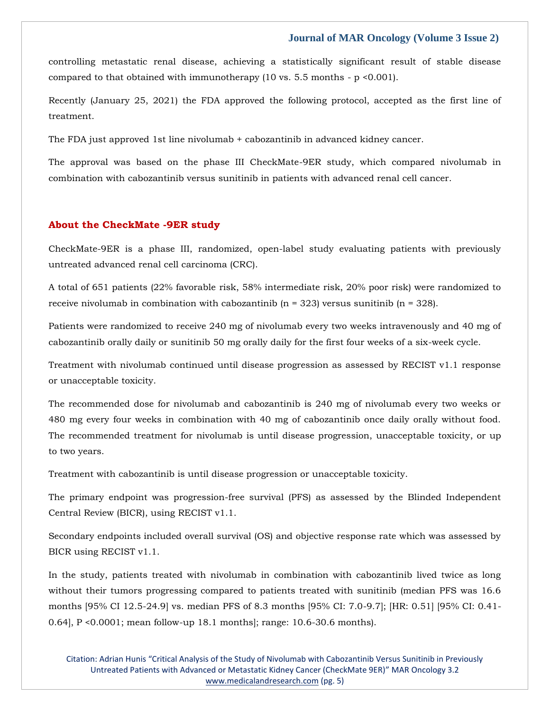controlling metastatic renal disease, achieving a statistically significant result of stable disease compared to that obtained with immunotherapy  $(10 \text{ vs. } 5.5 \text{ months - p} < 0.001)$ .

Recently (January 25, 2021) the FDA approved the following protocol, accepted as the first line of treatment.

The FDA just approved 1st line nivolumab + cabozantinib in advanced kidney cancer.

The approval was based on the phase III CheckMate-9ER study, which compared nivolumab in combination with cabozantinib versus sunitinib in patients with advanced renal cell cancer.

#### **About the CheckMate -9ER study**

CheckMate-9ER is a phase III, randomized, open-label study evaluating patients with previously untreated advanced renal cell carcinoma (CRC).

A total of 651 patients (22% favorable risk, 58% intermediate risk, 20% poor risk) were randomized to receive nivolumab in combination with cabozantinib ( $n = 323$ ) versus sunitinib ( $n = 328$ ).

Patients were randomized to receive 240 mg of nivolumab every two weeks intravenously and 40 mg of cabozantinib orally daily or sunitinib 50 mg orally daily for the first four weeks of a six-week cycle.

Treatment with nivolumab continued until disease progression as assessed by RECIST v1.1 response or unacceptable toxicity.

The recommended dose for nivolumab and cabozantinib is 240 mg of nivolumab every two weeks or 480 mg every four weeks in combination with 40 mg of cabozantinib once daily orally without food. The recommended treatment for nivolumab is until disease progression, unacceptable toxicity, or up to two years.

Treatment with cabozantinib is until disease progression or unacceptable toxicity.

The primary endpoint was progression-free survival (PFS) as assessed by the Blinded Independent Central Review (BICR), using RECIST v1.1.

Secondary endpoints included overall survival (OS) and objective response rate which was assessed by BICR using RECIST v1.1.

In the study, patients treated with nivolumab in combination with cabozantinib lived twice as long without their tumors progressing compared to patients treated with sunitinib (median PFS was 16.6 months [95% CI 12.5-24.9] vs. median PFS of 8.3 months [95% CI: 7.0-9.7]; [HR: 0.51] [95% CI: 0.41- 0.64], P <0.0001; mean follow-up 18.1 months]; range: 10.6-30.6 months).

Citation: Adrian Hunis "Critical Analysis of the Study of Nivolumab with Cabozantinib Versus Sunitinib in Previously Untreated Patients with Advanced or Metastatic Kidney Cancer (CheckMate 9ER)" MAR Oncology 3.2 [www.medicalandresearch.com](http://www.medicalandresearch.com/) (pg. 5)